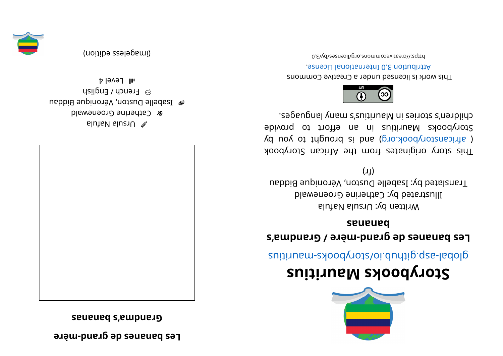**expanding to a display the edge of the Lugar** 

**sananabs' a mdnar G**



alutaV sluziU  $\mathscr X$ **& Catherine Groenewald** e Isabelle Duston, Véronique Biddau  $\odot$  French / English  $1$ l  $\sim$ level 4

(imageless eqition)





## **<sup>s</sup> ui ti r ua Mskoobyr otS**

suitius rate.gliquor syoodynotal abolisting and the suiting

## **s' <sup>a</sup> mdnar G/ erè m- dnar g edsenanabseL sananab**

Written by: Ursula Nafula Illustrated by: Catherine Groenewald Translated by: Isabelle Duston, Véronique Biddau  $(1)$ 

This story originates from the African Storybook ( africanstorybook.org) and is brought to you by Storybooks Mauritius in an effort to provide . segaugnal ynam s'zuitiusM ni zeirotz s'nerblid.



This work is licensed under a Creative Commons . esnecial lanoit annul 0. S noit udint A

0. E\vd\zesrivecommons.org/licenses/by/3.0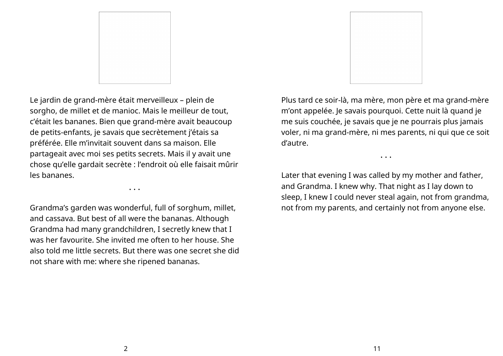

Le jardin de grand-mère était merveilleux – plein de sorgho, de millet et de manioc. Mais le meilleur de tout, c'était les bananes. Bien que grand-mère avait beaucoup de petits-enfants, je savais que secrètement j'étais sa préférée. Elle m'invitait souvent dans sa maison. Elle partageait avec moi ses petits secrets. Mais il y avait une chose qu'elle gardait secrète : l'endroit où elle faisait mûrir les bananes.

Grandma's garden was wonderful, full of sorghum, millet, and cassava. But best of all were the bananas. Although Grandma had many grandchildren, I secretly knew that I was her favourite. She invited me often to her house. She also told me little secrets. But there was one secret she did not share with me: where she ripened bananas.

• • •



Plus tard ce soir-là, ma mère, mon père et ma grand-mère m'ont appelée. Je savais pourquoi. Cette nuit là quand je me suis couchée, je savais que je ne pourrais plus jamais voler, ni ma grand-mère, ni mes parents, ni qui que ce soit d'autre.

• • •

Later that evening I was called by my mother and father, and Grandma. I knew why. That night as I lay down to sleep, I knew I could never steal again, not from grandma, not from my parents, and certainly not from anyone else.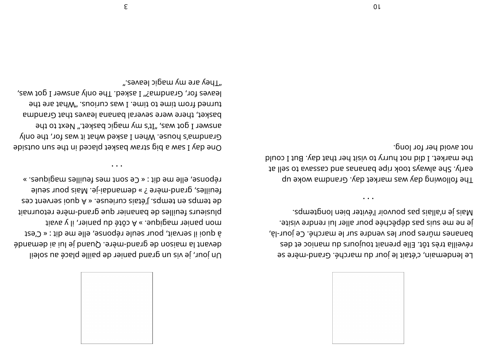

Mais je n'allais pas pouvoir l'éviter bien longtemps. je ne me suis pas dépêchée pour aller lui rendre visite. bananes mûres pour les vendre sur le marché. Ce jour-là, réveilla très tôt. Elle prenait toujours du manioc et des Le lendemain, c'était le jour du marché. Grand-mère se

not avoid her for long. the market. I did not hurry to visit her that day. But I could to lles of svasses bne zananad eqin xoot ayawla ed2 .yhae The following day was market day. Grandma woke up

".e9vsəl ɔipɕm ɣm əาɕ ɣənT leaves for, Grandma?" I asked. The only answer I got was, turned from time to time. I was curious. "What are the basket, there were several banana leaves that Grandma answer I got was, "It's my magic basket." Next to the Grandma's house. When I asked what it was for, the only One day I saw a big straw basket placed in the sun outside

 $\ddotsc$ 

réponse, elle me dit : « Ce sont mes feuilles magiques. »

à quoi il servait, pour seule réponse, elle me dit : « C'est

Un jour, je vis un grand panier de paille placé au soleil

4 evant la maison de grand-mère. Quand je lui ai demandé

feuilles, grand-mère ? » demandai-je. Mais pour seule de temps en temps. J'étais curieuse. « A quoi servent ces plusieurs feuilles de bananier que grand-mère retournait

mon panier magique. » A côté du panier, il y avait

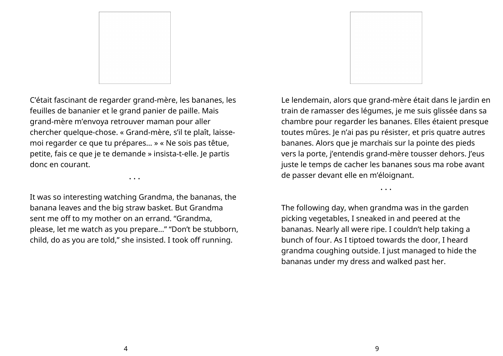

C'était fascinant de regarder grand-mère, les bananes, les feuilles de bananier et le grand panier de paille. Mais grand-mère m'envoya retrouver maman pour aller chercher quelque-chose. « Grand-mère, s'il te plaît, laissemoi regarder ce que tu prépares… » « Ne sois pas têtue, petite, fais ce que je te demande » insista-t-elle. Je partis donc en courant.

• • •

It was so interesting watching Grandma, the bananas, the banana leaves and the big straw basket. But Grandma sent me off to my mother on an errand. "Grandma, please, let me watch as you prepare…" "Don't be stubborn, child, do as you are told," she insisted. I took off running.



Le lendemain, alors que grand-mère était dans le jardin en train de ramasser des légumes, je me suis glissée dans sa chambre pour regarder les bananes. Elles étaient presque toutes mûres. Je n'ai pas pu résister, et pris quatre autres bananes. Alors que je marchais sur la pointe des pieds vers la porte, j'entendis grand-mère tousser dehors. J'eus juste le temps de cacher les bananes sous ma robe avant de passer devant elle en m'éloignant.

• • •

The following day, when grandma was in the garden picking vegetables, I sneaked in and peered at the bananas. Nearly all were ripe. I couldn't help taking a bunch of four. As I tiptoed towards the door, I heard grandma coughing outside. I just managed to hide the bananas under my dress and walked past her.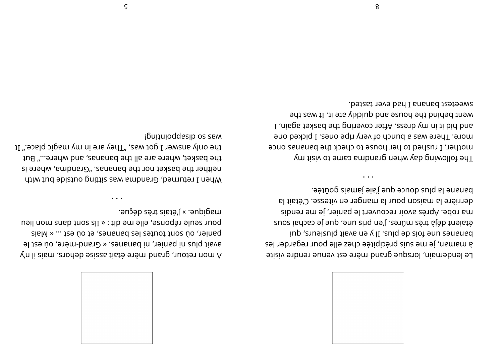

nagique. » J'étais très déçue. pour seule réponse, elle me dit : « Ils sont dans mon lieu panier, où sont toutes les bananes, et où est ... « Mais avait plus ni panier, ni bananes. « Grand-mère, où est le A'mon retour, grand-mêre était assise dehors, mais il n'y

pulational possessions is the only answer I got was, "They are in my magic place." It the basket, where are all the bananas, and where..." But neither the basket nor the bananas. "Grandma, where is when I returned, Grandma was sitting outside but with

banane la plus douce que jamais goûtée. derrière la maison pour la manger en vitesse. C'était la ma robe. Après avoir recouvert le panier, je me rendis étaient déjà très mûres. J'en pris une, que je cachai sous iup , eximisuld tieve no  $\chi$  II , end ab aiof pansieurs, qui à maman, je me suis précipitée chez elle pour regarder les Le lendemain, lorsque grand-mère est venue rendre visite

sweetest banana I had ever tasted. went behind the house and quickly ate it. It was the I , nisps texted edt priver covering the basket again, I more. There was a bunch of very ripe ones. I picked one mother, I rushed to her house to check the bananas once The following day when grandna came to visit my